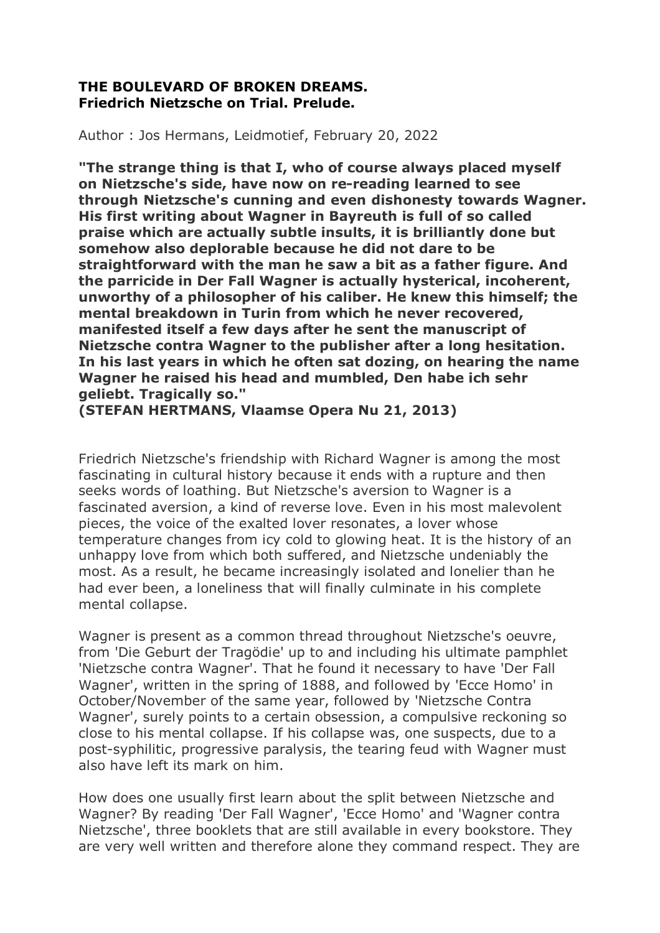## **THE BOULEVARD OF BROKEN DREAMS. Friedrich Nietzsche on Trial. Prelude.**

Author : Jos Hermans, Leidmotief, February 20, 2022

**"The strange thing is that I, who of course always placed myself on Nietzsche's side, have now on re-reading learned to see through Nietzsche's cunning and even dishonesty towards Wagner. His first writing about Wagner in Bayreuth is full of so called praise which are actually subtle insults, it is brilliantly done but somehow also deplorable because he did not dare to be straightforward with the man he saw a bit as a father figure. And the parricide in Der Fall Wagner is actually hysterical, incoherent, unworthy of a philosopher of his caliber. He knew this himself; the mental breakdown in Turin from which he never recovered, manifested itself a few days after he sent the manuscript of Nietzsche contra Wagner to the publisher after a long hesitation. In his last years in which he often sat dozing, on hearing the name Wagner he raised his head and mumbled, Den habe ich sehr geliebt. Tragically so."** 

**(STEFAN HERTMANS, Vlaamse Opera Nu 21, 2013)** 

Friedrich Nietzsche's friendship with Richard Wagner is among the most fascinating in cultural history because it ends with a rupture and then seeks words of loathing. But Nietzsche's aversion to Wagner is a fascinated aversion, a kind of reverse love. Even in his most malevolent pieces, the voice of the exalted lover resonates, a lover whose temperature changes from icy cold to glowing heat. It is the history of an unhappy love from which both suffered, and Nietzsche undeniably the most. As a result, he became increasingly isolated and lonelier than he had ever been, a loneliness that will finally culminate in his complete mental collapse.

Wagner is present as a common thread throughout Nietzsche's oeuvre, from 'Die Geburt der Tragödie' up to and including his ultimate pamphlet 'Nietzsche contra Wagner'. That he found it necessary to have 'Der Fall Wagner', written in the spring of 1888, and followed by 'Ecce Homo' in October/November of the same year, followed by 'Nietzsche Contra Wagner', surely points to a certain obsession, a compulsive reckoning so close to his mental collapse. If his collapse was, one suspects, due to a post-syphilitic, progressive paralysis, the tearing feud with Wagner must also have left its mark on him.

How does one usually first learn about the split between Nietzsche and Wagner? By reading 'Der Fall Wagner', 'Ecce Homo' and 'Wagner contra Nietzsche', three booklets that are still available in every bookstore. They are very well written and therefore alone they command respect. They are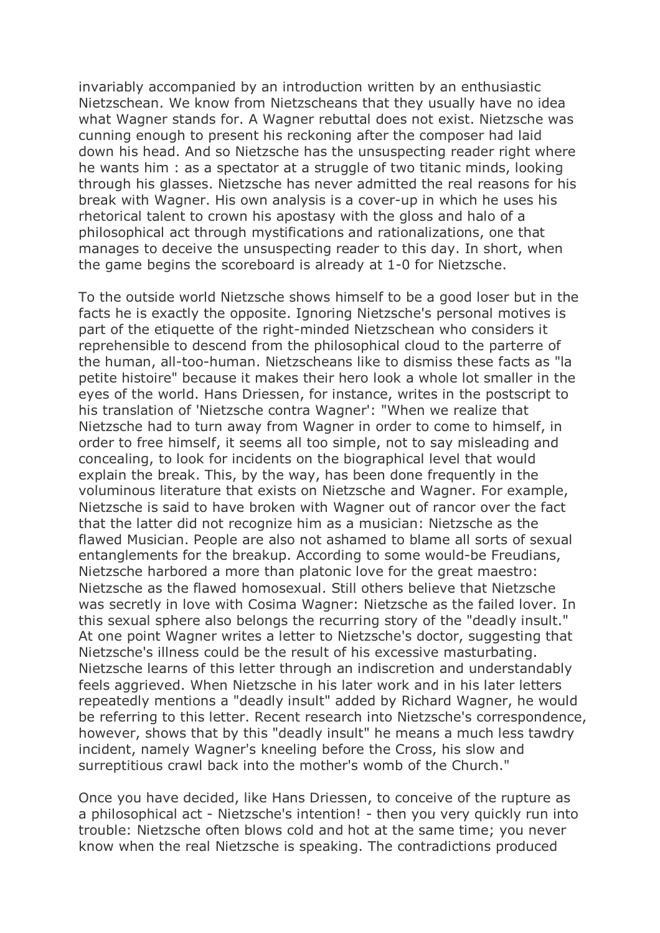invariably accompanied by an introduction written by an enthusiastic Nietzschean. We know from Nietzscheans that they usually have no idea what Wagner stands for. A Wagner rebuttal does not exist. Nietzsche was cunning enough to present his reckoning after the composer had laid down his head. And so Nietzsche has the unsuspecting reader right where he wants him : as a spectator at a struggle of two titanic minds, looking through his glasses. Nietzsche has never admitted the real reasons for his break with Wagner. His own analysis is a cover-up in which he uses his rhetorical talent to crown his apostasy with the gloss and halo of a philosophical act through mystifications and rationalizations, one that manages to deceive the unsuspecting reader to this day. In short, when the game begins the scoreboard is already at 1-0 for Nietzsche.

To the outside world Nietzsche shows himself to be a good loser but in the facts he is exactly the opposite. Ignoring Nietzsche's personal motives is part of the etiquette of the right-minded Nietzschean who considers it reprehensible to descend from the philosophical cloud to the parterre of the human, all-too-human. Nietzscheans like to dismiss these facts as "la petite histoire" because it makes their hero look a whole lot smaller in the eyes of the world. Hans Driessen, for instance, writes in the postscript to his translation of 'Nietzsche contra Wagner': "When we realize that Nietzsche had to turn away from Wagner in order to come to himself, in order to free himself, it seems all too simple, not to say misleading and concealing, to look for incidents on the biographical level that would explain the break. This, by the way, has been done frequently in the voluminous literature that exists on Nietzsche and Wagner. For example, Nietzsche is said to have broken with Wagner out of rancor over the fact that the latter did not recognize him as a musician: Nietzsche as the flawed Musician. People are also not ashamed to blame all sorts of sexual entanglements for the breakup. According to some would-be Freudians, Nietzsche harbored a more than platonic love for the great maestro: Nietzsche as the flawed homosexual. Still others believe that Nietzsche was secretly in love with Cosima Wagner: Nietzsche as the failed lover. In this sexual sphere also belongs the recurring story of the "deadly insult." At one point Wagner writes a letter to Nietzsche's doctor, suggesting that Nietzsche's illness could be the result of his excessive masturbating. Nietzsche learns of this letter through an indiscretion and understandably feels aggrieved. When Nietzsche in his later work and in his later letters repeatedly mentions a "deadly insult" added by Richard Wagner, he would be referring to this letter. Recent research into Nietzsche's correspondence, however, shows that by this "deadly insult" he means a much less tawdry incident, namely Wagner's kneeling before the Cross, his slow and surreptitious crawl back into the mother's womb of the Church."

Once you have decided, like Hans Driessen, to conceive of the rupture as a philosophical act - Nietzsche's intention! - then you very quickly run into trouble: Nietzsche often blows cold and hot at the same time; you never know when the real Nietzsche is speaking. The contradictions produced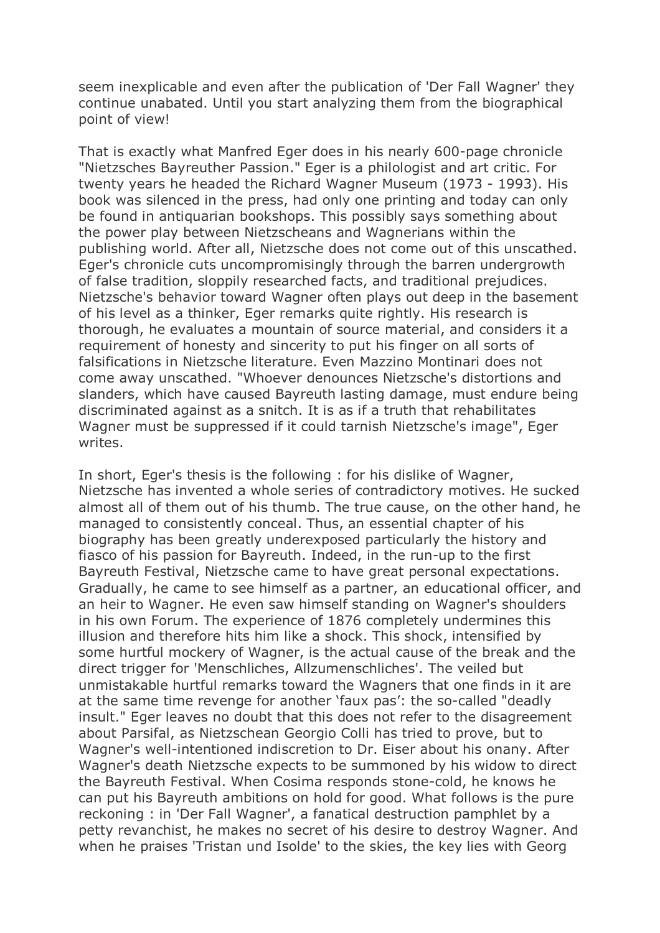seem inexplicable and even after the publication of 'Der Fall Wagner' they continue unabated. Until you start analyzing them from the biographical point of view!

That is exactly what Manfred Eger does in his nearly 600-page chronicle "Nietzsches Bayreuther Passion." Eger is a philologist and art critic. For twenty years he headed the Richard Wagner Museum (1973 - 1993). His book was silenced in the press, had only one printing and today can only be found in antiquarian bookshops. This possibly says something about the power play between Nietzscheans and Wagnerians within the publishing world. After all, Nietzsche does not come out of this unscathed. Eger's chronicle cuts uncompromisingly through the barren undergrowth of false tradition, sloppily researched facts, and traditional prejudices. Nietzsche's behavior toward Wagner often plays out deep in the basement of his level as a thinker, Eger remarks quite rightly. His research is thorough, he evaluates a mountain of source material, and considers it a requirement of honesty and sincerity to put his finger on all sorts of falsifications in Nietzsche literature. Even Mazzino Montinari does not come away unscathed. "Whoever denounces Nietzsche's distortions and slanders, which have caused Bayreuth lasting damage, must endure being discriminated against as a snitch. It is as if a truth that rehabilitates Wagner must be suppressed if it could tarnish Nietzsche's image", Eger writes.

In short, Eger's thesis is the following : for his dislike of Wagner, Nietzsche has invented a whole series of contradictory motives. He sucked almost all of them out of his thumb. The true cause, on the other hand, he managed to consistently conceal. Thus, an essential chapter of his biography has been greatly underexposed particularly the history and fiasco of his passion for Bayreuth. Indeed, in the run-up to the first Bayreuth Festival, Nietzsche came to have great personal expectations. Gradually, he came to see himself as a partner, an educational officer, and an heir to Wagner. He even saw himself standing on Wagner's shoulders in his own Forum. The experience of 1876 completely undermines this illusion and therefore hits him like a shock. This shock, intensified by some hurtful mockery of Wagner, is the actual cause of the break and the direct trigger for 'Menschliches, Allzumenschliches'. The veiled but unmistakable hurtful remarks toward the Wagners that one finds in it are at the same time revenge for another 'faux pas': the so-called "deadly insult." Eger leaves no doubt that this does not refer to the disagreement about Parsifal, as Nietzschean Georgio Colli has tried to prove, but to Wagner's well-intentioned indiscretion to Dr. Eiser about his onany. After Wagner's death Nietzsche expects to be summoned by his widow to direct the Bayreuth Festival. When Cosima responds stone-cold, he knows he can put his Bayreuth ambitions on hold for good. What follows is the pure reckoning : in 'Der Fall Wagner', a fanatical destruction pamphlet by a petty revanchist, he makes no secret of his desire to destroy Wagner. And when he praises 'Tristan und Isolde' to the skies, the key lies with Georg